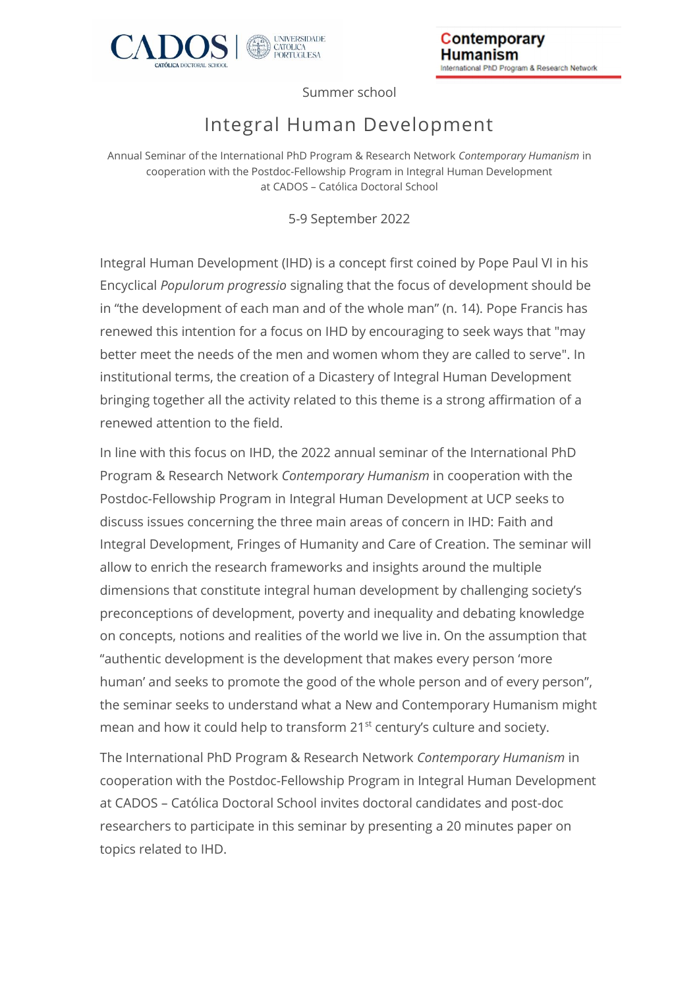

Summer school

## Integral Human Development

Annual Seminar of the International PhD Program & Research Network *Contemporary Humanism* in cooperation with the Postdoc-Fellowship Program in Integral Human Development at CADOS – Católica Doctoral School

5-9 September 2022

Integral Human Development (IHD) is a concept first coined by Pope Paul VI in his Encyclical *Populorum progressio* signaling that the focus of development should be in "the development of each man and of the whole man" (n. 14). Pope Francis has renewed this intention for a focus on IHD by encouraging to seek ways that "may better meet the needs of the men and women whom they are called to serve". In institutional terms, the creation of a Dicastery of Integral Human Development bringing together all the activity related to this theme is a strong affirmation of a renewed attention to the field.

In line with this focus on IHD, the 2022 annual seminar of the International PhD Program & Research Network *Contemporary Humanism* in cooperation with the Postdoc-Fellowship Program in Integral Human Development at UCP seeks to discuss issues concerning the three main areas of concern in IHD: Faith and Integral Development, Fringes of Humanity and Care of Creation. The seminar will allow to enrich the research frameworks and insights around the multiple dimensions that constitute integral human development by challenging society's preconceptions of development, poverty and inequality and debating knowledge on concepts, notions and realities of the world we live in. On the assumption that "authentic development is the development that makes every person 'more human' and seeks to promote the good of the whole person and of every person", the seminar seeks to understand what a New and Contemporary Humanism might mean and how it could help to transform 21<sup>st</sup> century's culture and society.

The International PhD Program & Research Network *Contemporary Humanism* in cooperation with the Postdoc-Fellowship Program in Integral Human Development at CADOS – Católica Doctoral School invites doctoral candidates and post-doc researchers to participate in this seminar by presenting a 20 minutes paper on topics related to IHD.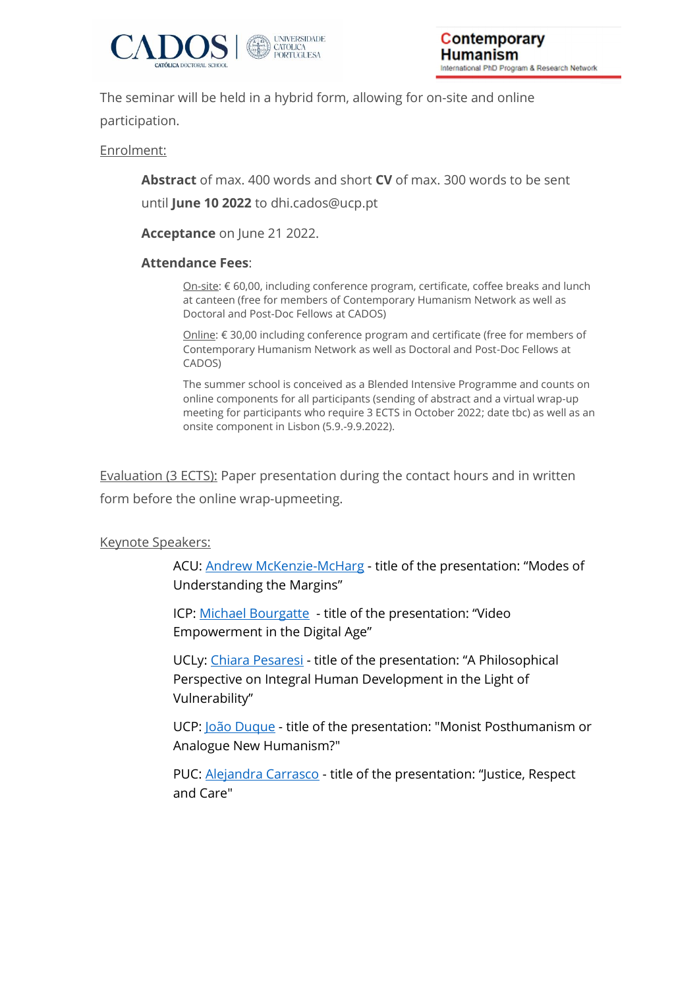

The seminar will be held in a hybrid form, allowing for on-site and online participation.

Enrolment:

**Abstract** of max. 400 words and short **CV** of max. 300 words to be sent

until **June 10 2022** to dhi.cados@ucp.pt

**Acceptance** on June 21 2022.

## **Attendance Fees**:

On-site: € 60,00, including conference program, certificate, coffee breaks and lunch at canteen (free for members of Contemporary Humanism Network as well as Doctoral and Post-Doc Fellows at CADOS)

Online: € 30,00 including conference program and certificate (free for members of Contemporary Humanism Network as well as Doctoral and Post-Doc Fellows at CADOS)

The summer school is conceived as a Blended Intensive Programme and counts on online components for all participants (sending of abstract and a virtual wrap-up meeting for participants who require 3 ECTS in October 2022; date tbc) as well as an onsite component in Lisbon (5.9.-9.9.2022).

Evaluation (3 ECTS): Paper presentation during the contact hours and in written form before the online wrap-upmeeting.

## Keynote Speakers:

ACU: **Andrew McKenzie-McHarg** - title of the presentation: "Modes of Understanding the Margins"

ICP: [Michael Bourgatte](https://www.icp.fr/recherche-v2/unite-de-recherche/membres-de-lunite-de-recherche/bourgatte-michael) - title of the presentation: "Video Empowerment in the Digital Age"

UCLy: [Chiara Pesaresi](https://www.ucly.fr/la-recherche/les-enseignants-chercheurs/enseignants-chercheurs/pesaresi-chiara-11443/) - title of the presentation: "A Philosophical Perspective on Integral Human Development in the Light of Vulnerability"

UCP: [João Duque](https://ft.ucp.pt/person/joao-duque?change-language=1) - title of the presentation: "Monist Posthumanism or Analogue New Humanism?"

PUC: [Alejandra Carrasco](https://filosofia.uc.cl/planta-ordinaria/carrasco-barraza-maria-alejandra) - title of the presentation: "Justice, Respect and Care"